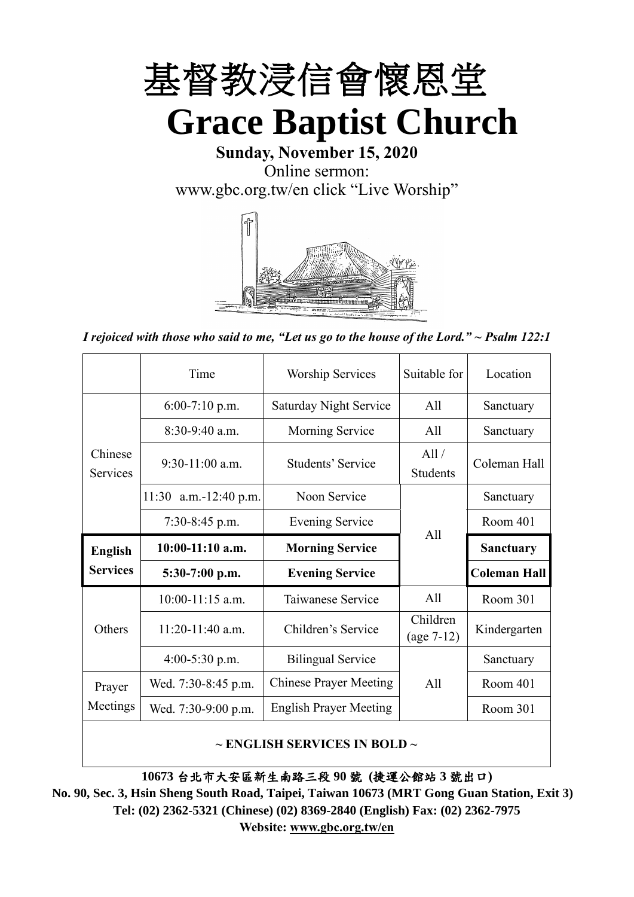

**Sunday, November 15, 2020** Online sermon: [www.gbc.org.tw/en](http://www.gbc.org.tw/en) click "Live Worship"



*I rejoiced with those who said to me, "Let us go to the house of the Lord." ~ Psalm 122:1*

|                            | Time                  | <b>Worship Services</b>       | Suitable for             | Location            |
|----------------------------|-----------------------|-------------------------------|--------------------------|---------------------|
|                            | $6:00-7:10$ p.m.      | <b>Saturday Night Service</b> | All                      | Sanctuary           |
|                            | $8:30-9:40$ a.m.      | Morning Service               | All                      | Sanctuary           |
| Chinese<br><b>Services</b> | $9:30-11:00$ a.m.     | Students' Service             | All /<br><b>Students</b> | Coleman Hall        |
|                            | 11:30 a.m.-12:40 p.m. | Noon Service                  |                          | Sanctuary           |
|                            | $7:30-8:45$ p.m.      | <b>Evening Service</b>        | All                      | Room 401            |
|                            |                       |                               |                          |                     |
| <b>English</b>             | $10:00-11:10$ a.m.    | <b>Morning Service</b>        |                          | <b>Sanctuary</b>    |
| <b>Services</b>            | $5:30-7:00$ p.m.      | <b>Evening Service</b>        |                          | <b>Coleman Hall</b> |
|                            | $10:00-11:15$ a.m.    | Taiwanese Service             | All                      | Room 301            |
| Others                     | $11:20-11:40$ a.m.    | Children's Service            | Children<br>$(age 7-12)$ | Kindergarten        |
|                            | $4:00-5:30$ p.m.      | <b>Bilingual Service</b>      |                          | Sanctuary           |
| Prayer                     | Wed. 7:30-8:45 p.m.   | <b>Chinese Prayer Meeting</b> | A11                      | Room 401            |
| Meetings                   | Wed. 7:30-9:00 p.m.   | <b>English Prayer Meeting</b> |                          | Room 301            |

#### **~ ENGLISH SERVICES IN BOLD ~**

**10673** 台北市大安區新生南路三段 **90** 號 **(**捷運公館站 **3** 號出口**)**

**No. 90, Sec. 3, Hsin Sheng South Road, Taipei, Taiwan 10673 (MRT Gong Guan Station, Exit 3) Tel: (02) 2362-5321 (Chinese) (02) 8369-2840 (English) Fax: (02) 2362-7975 Website: [www.gbc.org.tw/en](http://www.gbc.org.tw/en)**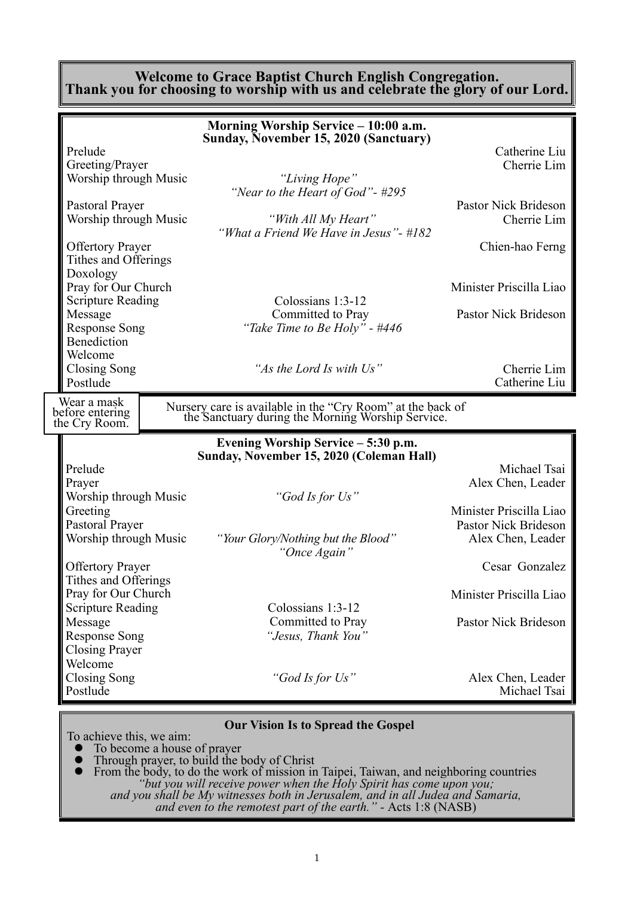#### **Welcome to Grace Baptist Church English Congregation. Thank you for choosing to worship with us and celebrate the glory of our Lord.**

|                                                                                                 | Morning Worship Service - 10:00 a.m.                                                                                                                            |                                                                      |
|-------------------------------------------------------------------------------------------------|-----------------------------------------------------------------------------------------------------------------------------------------------------------------|----------------------------------------------------------------------|
| Prelude<br>Greeting/Prayer<br>Worship through Music<br>Pastoral Prayer<br>Worship through Music | Sunday, November 15, 2020 (Sanctuary)<br>"Living Hope"<br>"Near to the Heart of God" - $#295$<br>"With All My Heart"<br>"What a Friend We Have in Jesus" - #182 | Catherine Liu<br>Cherrie Lim<br>Pastor Nick Brideson<br>Cherrie Lim  |
| <b>Offertory Prayer</b><br>Tithes and Offerings<br>Doxology                                     |                                                                                                                                                                 | Chien-hao Ferng                                                      |
| Pray for Our Church<br><b>Scripture Reading</b>                                                 | Colossians 1:3-12                                                                                                                                               | Minister Priscilla Liao                                              |
| Message<br><b>Response Song</b><br>Benediction<br>Welcome                                       | Committed to Pray<br>"Take Time to Be Holy" - #446                                                                                                              | Pastor Nick Brideson                                                 |
| Closing Song<br>Postlude                                                                        | "As the Lord Is with Us"                                                                                                                                        | Cherrie Lim<br>Catherine Liu                                         |
| Wear a mask<br>before entering                                                                  | Nursery care is available in the "Cry Room" at the back of<br>the Sanctuary during the Morning Worship Service.                                                 |                                                                      |
| the Cry Room.                                                                                   |                                                                                                                                                                 |                                                                      |
|                                                                                                 | Evening Worship Service – 5:30 p.m.                                                                                                                             |                                                                      |
| Prelude<br>Prayer                                                                               | Sunday, November 15, 2020 (Coleman Hall)                                                                                                                        | Michael Tsai<br>Alex Chen, Leader                                    |
| Worship through Music<br>Greeting<br>Pastoral Prayer<br>Worship through Music                   | "God Is for Us"<br>"Your Glory/Nothing but the Blood"                                                                                                           | Minister Priscilla Liao<br>Pastor Nick Brideson<br>Alex Chen, Leader |
| <b>Offertory Prayer</b>                                                                         | "Once Again"                                                                                                                                                    | Cesar Gonzalez                                                       |
| Tithes and Offerings<br>Pray for Our Church                                                     |                                                                                                                                                                 | Minister Priscilla Liao                                              |
| <b>Scripture Reading</b><br>Message<br><b>Response Song</b><br><b>Closing Prayer</b>            | Colossians 1:3-12<br>Committed to Pray<br>"Jesus, Thank You"                                                                                                    | Pastor Nick Brideson                                                 |
| Welcome<br><b>Closing Song</b><br>Postlude                                                      | "God Is for Us"                                                                                                                                                 | Alex Chen, Leader<br>Michael Tsai                                    |

To achieve this, we aim:<br>
• To become a house

- ⚫ To become a house of prayer
- ⚫ Through prayer, to build the body of Christ

⚫ From the body, to do the work of mission in Taipei, Taiwan, and neighboring countries *"but you will receive power when the Holy Spirit has come upon you; and you shall be My witnesses both in Jerusalem, and in all Judea and Samaria, and even to the remotest part of the earth." -* Acts 1:8 (NASB)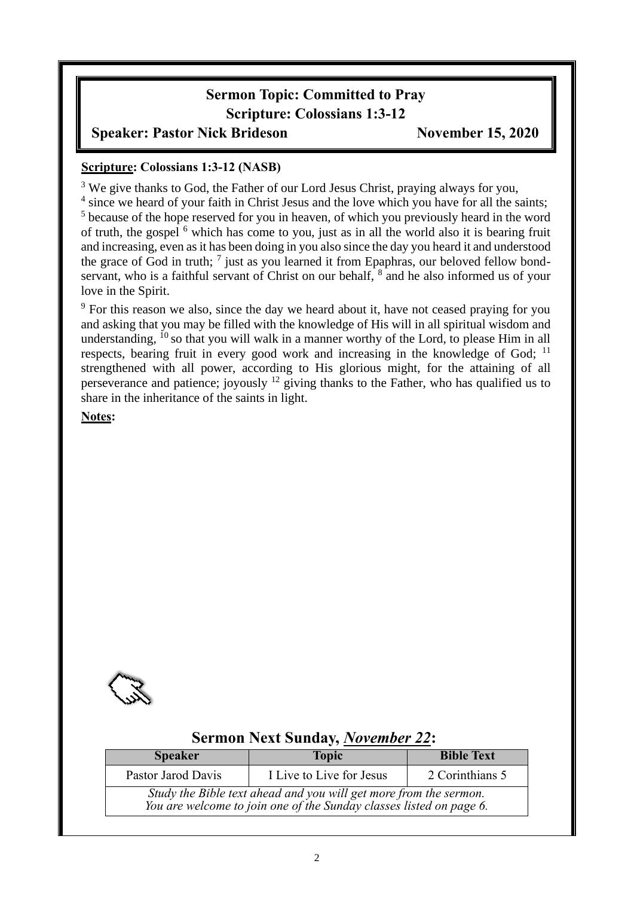# **Sermon Topic: Committed to Pray Scripture: Colossians 1:3-12**

#### **Speaker: Pastor Nick Brideson November 15, 2020**

#### **Scripture: Colossians 1:3-12 (NASB)**

<sup>3</sup> We give thanks to God, the Father of our Lord Jesus Christ, praying always for you,

<sup>4</sup> since we heard of your faith in Christ Jesus and the love which you have for all the saints; <sup>5</sup> because of the hope reserved for you in heaven, of which you previously heard in the word of truth, the gospel  $<sup>6</sup>$  which has come to you, just as in all the world also it is bearing fruit</sup> and increasing, even as it has been doing in you also since the day you heard it and understood the grace of God in truth;  $\frac{7}{7}$  just as you learned it from Epaphras, our beloved fellow bondservant, who is a faithful servant of Christ on our behalf, <sup>8</sup> and he also informed us of your love in the Spirit.

<sup>9</sup> For this reason we also, since the day we heard about it, have not ceased praying for you and asking that you may be filled with the knowledge of His will in all spiritual wisdom and understanding, <sup>10</sup> so that you will walk in a manner worthy of the Lord, to please Him in all respects, bearing fruit in every good work and increasing in the knowledge of God; <sup>11</sup> strengthened with all power, according to His glorious might, for the attaining of all perseverance and patience; joyously <sup>12</sup> giving thanks to the Father, who has qualified us to share in the inheritance of the saints in light.

**Notes:**



## **Sermon Next Sunday,** *November 22***:**

| <b>Speaker</b>                                                                                                                           | <b>Topic</b>             | <b>Bible Text</b> |  |  |  |
|------------------------------------------------------------------------------------------------------------------------------------------|--------------------------|-------------------|--|--|--|
| Pastor Jarod Davis                                                                                                                       | I Live to Live for Jesus | 2 Corinthians 5   |  |  |  |
| Study the Bible text ahead and you will get more from the sermon.<br>You are welcome to join one of the Sunday classes listed on page 6. |                          |                   |  |  |  |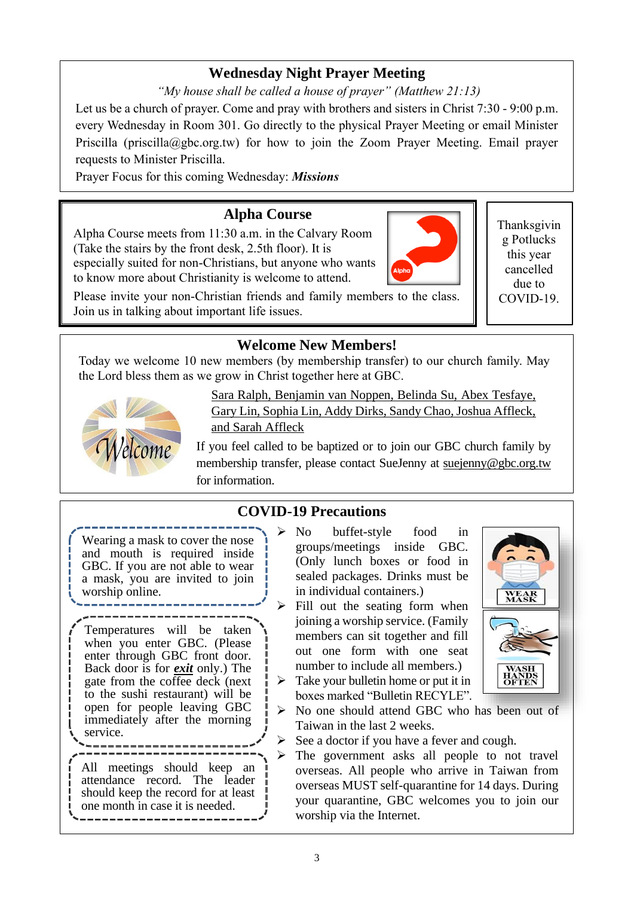# **Wednesday Night Prayer Meeting**

*"My house shall be called a house of prayer" (Matthew 21:13)*

Let us be a church of prayer. Come and pray with brothers and sisters in Christ 7:30 - 9:00 p.m. every Wednesday in Room 301. Go directly to the physical Prayer Meeting or email Minister Priscilla (priscilla@gbc.org.tw) for how to join the Zoom Prayer Meeting. Email prayer requests to Minister Priscilla.

Prayer Focus for this coming Wednesday: *Missions*

# **Alpha Course**

Alpha Course meets from 11:30 a.m. in the Calvary Room (Take the stairs by the front desk, 2.5th floor). It is especially suited for non-Christians, but anyone who wants to know more about Christianity is welcome to attend.

Please invite your non-Christian friends and family members to the class. Join us in talking about important life issues.

## **Welcome New Members!**

Today we welcome 10 new members (by membership transfer) to our church family. May the Lord bless them as we grow in Christ together here at GBC.



Sara Ralph, Benjamin van Noppen, Belinda Su, Abex Tesfaye, Gary Lin, Sophia Lin, Addy Dirks, Sandy Chao, Joshua Affleck, and Sarah Affleck

If you feel called to be baptized or to join our GBC church family by membership transfer, please contact SueJenny at [suejenny@gbc.org.tw](mailto:suejenny@gbc.org.tw) for information.

# **COVID-19 Precautions**

Wearing a mask to cover the nose and mouth is required inside GBC. If you are not able to wear a mask, you are invited to join worship online.

Temperatures will be taken when you enter GBC. (Please enter through GBC front door. Back door is for *exit* only.) The gate from the coffee deck (next to the sushi restaurant) will be open for people leaving GBC immediately after the morning service.

All meetings should keep an attendance record. The leader should keep the record for at least one month in case it is needed.

- ➢ No buffet-style food in groups/meetings inside GBC. (Only lunch boxes or food in sealed packages. Drinks must be in individual containers.)
- $\triangleright$  Fill out the seating form when joining a worship service. (Family members can sit together and fill out one form with one seat number to include all members.)
- $\triangleright$  Take your bullet in home or put it in boxes marked "Bulletin RECYLE".



- ➢ No one should attend GBC who has been out of Taiwan in the last 2 weeks.
- $\triangleright$  See a doctor if you have a fever and cough.
- ➢ The government asks all people to not travel overseas. All people who arrive in Taiwan from overseas MUST self-quarantine for 14 days. During your quarantine, GBC welcomes you to join our worship via the Internet.

Thanksgivin g Potlucks this year cancelled due to COVID-19.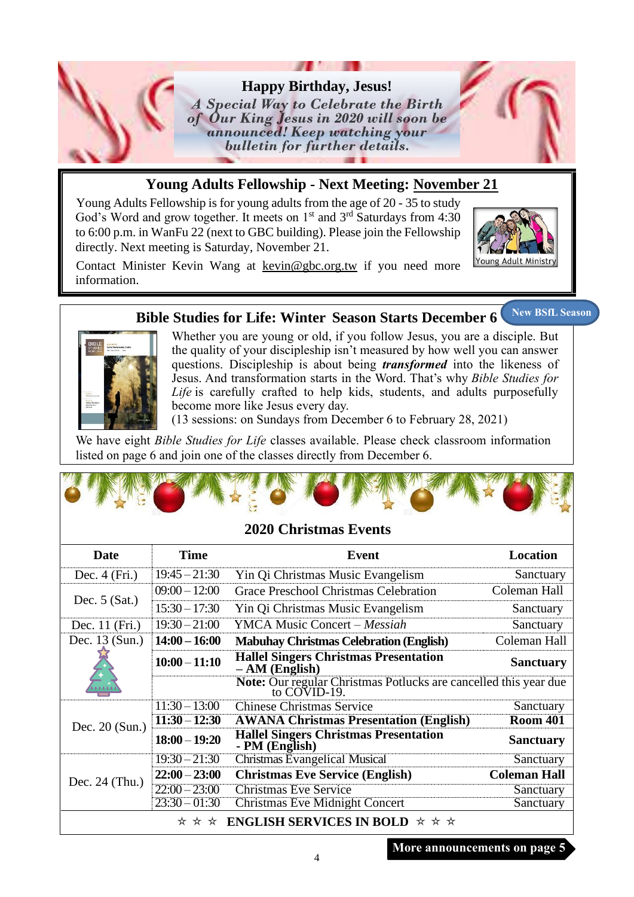

## **Young Adults Fellowship - Next Meeting: November 21**

Young Adults Fellowship is for young adults from the age of 20 - 35 to study God's Word and grow together. It meets on  $1<sup>st</sup>$  and  $3<sup>rd</sup>$  Saturdays from 4:30 to 6:00 p.m. in WanFu 22 (next to GBC building). Please join the Fellowship directly. Next meeting is Saturday, November 21.



Contact Minister Kevin Wang at kevin@gbc.org.tw if you need more information.

#### **Bible Studies for Life: Winter Season Starts December 6 New BSfL Season**



Whether you are young or old, if you follow Jesus, you are a disciple. But the quality of your discipleship isn't measured by how well you can answer questions. Discipleship is about being *transformed* into the likeness of Jesus. And transformation starts in the Word. That's why *Bible Studies for Life* is carefully crafted to help kids, students, and adults purposefully become more like Jesus every day.

(13 sessions: on Sundays from December 6 to February 28, 2021)

We have eight *Bible Studies for Life* classes available. Please check classroom information listed on page 6 and join one of the classes directly from December 6.

#### **2020 Christmas Events**

| <b>Date</b>      | <b>Time</b>     | Event                                                                            | Location            |
|------------------|-----------------|----------------------------------------------------------------------------------|---------------------|
| Dec. $4$ (Fri.)  | $19:45 - 21:30$ | Yin Qi Christmas Music Evangelism                                                | Sanctuary           |
|                  | $09:00 - 12:00$ | Grace Preschool Christmas Celebration                                            | Coleman Hall        |
| Dec. $5$ (Sat.)  | $15:30 - 17:30$ | Yin Qi Christmas Music Evangelism                                                | Sanctuary           |
| Dec. 11 (Fri.)   | $19:30 - 21:00$ | <b>YMCA Music Concert – Messiah</b>                                              | Sanctuary           |
| Dec. 13 (Sun.)   | $14:00 - 16:00$ | <b>Mabuhay Christmas Celebration (English)</b>                                   | Coleman Hall        |
|                  | $10:00 - 11:10$ | <b>Hallel Singers Christmas Presentation</b><br>$- AM (English)$                 | <b>Sanctuary</b>    |
| 1111             |                 | Note: Our regular Christmas Potlucks are cancelled this year due<br>to COVID-19. |                     |
|                  | $11:30 - 13:00$ | <b>Chinese Christmas Service</b>                                                 | Sanctuary           |
| Dec. $20$ (Sun.) | $11:30 - 12:30$ | <b>AWANA Christmas Presentation (English)</b>                                    | <b>Room 401</b>     |
|                  | $18:00 - 19:20$ | <b>Hallel Singers Christmas Presentation</b><br>- PM (English)                   | <b>Sanctuary</b>    |
|                  | $19:30 - 21:30$ | <b>Christmas Evangelical Musical</b>                                             | Sanctuary           |
| Dec. $24$ (Thu.) | $22:00 - 23:00$ | <b>Christmas Eve Service (English)</b>                                           | <b>Coleman Hall</b> |
|                  | $22:00 - 23:00$ | <b>Christmas Eve Service</b>                                                     | Sanctuary           |
|                  | $23:30 - 01:30$ | <b>Christmas Eve Midnight Concert</b>                                            | Sanctuary           |
|                  | * * *           | <b>ENGLISH SERVICES IN BOLD</b> $\star \star \star$                              |                     |

**More announcements on page 5**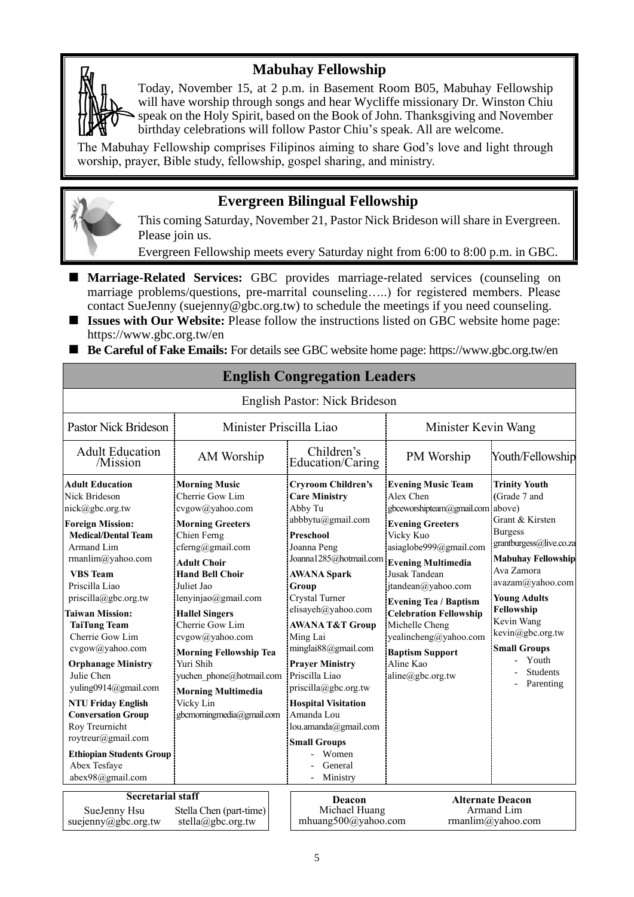#### **Mabuhay Fellowship**

Today, November 15, at 2 p.m. in Basement Room B05, Mabuhay Fellowship will have worship through songs and hear Wycliffe missionary Dr. Winston Chiu speak on the Holy Spirit, based on the Book of John. Thanksgiving and November birthday celebrations will follow Pastor Chiu's speak. All are welcome.

The Mabuhay Fellowship comprises Filipinos aiming to share God's love and light through worship, prayer, Bible study, fellowship, gospel sharing, and ministry.

#### **Evergreen Bilingual Fellowship**

This coming Saturday, November 21, Pastor Nick Brideson will share in Evergreen. Please join us.

Evergreen Fellowship meets every Saturday night from 6:00 to 8:00 p.m. in GBC.

- **Marriage-Related Services:** GBC provides marriage-related services (counseling on marriage problems/questions, pre-marrital counseling…..) for registered members. Please contact SueJenny (suejenny@gbc.org.tw) to schedule the meetings if you need counseling.
- **Issues with Our Website:** Please follow the instructions listed on GBC website home page: https://www.gbc.org.tw/en
- Be Careful of Fake Emails: For details see GBC website home page: https://www.gbc.org.tw/en

| English Pastor: Nick Brideson                                                                                                                                                                                                                                                                                                                                                                                                                                                                                                                          |                                                                                                                                                                                                                                                                                                                                                                                                                               |                                                                                                                                                                                                                                                                                                                                                                                                                                                                                       |                                                                                                                                                                                                                                                                                                                                                                                         |                                                                                                                                                                                                                                                                                                            |  |
|--------------------------------------------------------------------------------------------------------------------------------------------------------------------------------------------------------------------------------------------------------------------------------------------------------------------------------------------------------------------------------------------------------------------------------------------------------------------------------------------------------------------------------------------------------|-------------------------------------------------------------------------------------------------------------------------------------------------------------------------------------------------------------------------------------------------------------------------------------------------------------------------------------------------------------------------------------------------------------------------------|---------------------------------------------------------------------------------------------------------------------------------------------------------------------------------------------------------------------------------------------------------------------------------------------------------------------------------------------------------------------------------------------------------------------------------------------------------------------------------------|-----------------------------------------------------------------------------------------------------------------------------------------------------------------------------------------------------------------------------------------------------------------------------------------------------------------------------------------------------------------------------------------|------------------------------------------------------------------------------------------------------------------------------------------------------------------------------------------------------------------------------------------------------------------------------------------------------------|--|
| <b>Pastor Nick Brideson</b>                                                                                                                                                                                                                                                                                                                                                                                                                                                                                                                            | Minister Priscilla Liao                                                                                                                                                                                                                                                                                                                                                                                                       |                                                                                                                                                                                                                                                                                                                                                                                                                                                                                       | Minister Kevin Wang                                                                                                                                                                                                                                                                                                                                                                     |                                                                                                                                                                                                                                                                                                            |  |
| <b>Adult Education</b><br>/Mission                                                                                                                                                                                                                                                                                                                                                                                                                                                                                                                     | AM Worship                                                                                                                                                                                                                                                                                                                                                                                                                    | Children's<br>Education/Caring                                                                                                                                                                                                                                                                                                                                                                                                                                                        | PM Worship                                                                                                                                                                                                                                                                                                                                                                              | Youth/Fellowship                                                                                                                                                                                                                                                                                           |  |
| <b>Adult Education</b><br>Nick Brideson<br>nick@gbc.org.tw<br><b>Foreign Mission:</b><br><b>Medical/Dental Team</b><br>Armand Lim<br>rmanlim@yahoo.com<br><b>VBS</b> Team<br>Priscilla Liao<br>priscilla@gbc.org.tw<br><b>Taiwan Mission:</b><br><b>TaiTung Team</b><br>Cherrie Gow Lim<br>cvgow@yahoo.com<br><b>Orphanage Ministry</b><br>Julie Chen<br>yuling0914@gmail.com<br><b>NTU Friday English</b><br><b>Conversation Group</b><br>Roy Treurnicht<br>roytreur@gmail.com<br><b>Ethiopian Students Group</b><br>Abex Tesfaye<br>abex98@gmail.com | <b>Morning Music</b><br>Cherrie Gow Lim<br>cvgow@yahoo.com<br><b>Morning Greeters</b><br>Chien Ferng<br>cferng@gmail.com<br><b>Adult Choir</b><br><b>Hand Bell Choir</b><br>Juliet Jao<br>lenyinjao@gmail.com<br><b>Hallel Singers</b><br>Cherrie Gow Lim<br>cvgow@yahoo.com<br><b>Morning Fellowship Tea</b><br>Yuri Shih<br>yuchen phone@hotmail.com<br><b>Morning Multimedia</b><br>Vicky Lin<br>gbcmorningmedia@gmail.com | <b>Cryroom Children's</b><br><b>Care Ministry</b><br>Abby Tu<br>abbbytu@gmail.com<br><b>Preschool</b><br>Joanna Peng<br>Joanna1285@hotmail.com<br><b>AWANA Spark</b><br>Group<br>Crystal Turner<br>elisayeh@yahoo.com<br><b>AWANA T&amp;T Group</b><br>Ming Lai<br>minglai88@gmail.com<br><b>Prayer Ministry</b><br>Priscilla Liao<br>priscilla@gbc.org.tw<br><b>Hospital Visitation</b><br>Amanda Lou<br>lou.amanda@gmail.com<br><b>Small Groups</b><br>Women<br>General<br>Ministry | <b>Evening Music Team</b><br>Alex Chen<br>gbceworshipteam@gmail.com above)<br><b>Evening Greeters</b><br>Vicky Kuo<br>asiaglobe999@gmail.com<br><b>Evening Multimedia</b><br>Jusak Tandean<br>jtandean@yahoo.com<br><b>Evening Tea / Baptism</b><br><b>Celebration Fellowship</b><br>Michelle Cheng<br>yealincheng@yahoo.com<br><b>Baptism Support</b><br>Aline Kao<br>aline@gbc.org.tw | <b>Trinity Youth</b><br>(Grade 7 and<br>Grant & Kirsten<br><b>Burgess</b><br>grantburgess@live.co.za<br><b>Mabuhay Fellowship</b><br>Ava Zamora<br>avazam@yahoo.com<br><b>Young Adults</b><br>Fellowship<br>Kevin Wang<br>kevin@gbc.org.tw<br><b>Small Groups</b><br>Youth<br><b>Students</b><br>Parenting |  |
| <b>Secretarial staff</b><br>SueJenny Hsu<br>suejenny@gbc.org.tw                                                                                                                                                                                                                                                                                                                                                                                                                                                                                        | Stella Chen (part-time)<br>stella@gbc.org.tw                                                                                                                                                                                                                                                                                                                                                                                  | Deacon<br>Michael Huang<br>mhuang500@yahoo.com                                                                                                                                                                                                                                                                                                                                                                                                                                        |                                                                                                                                                                                                                                                                                                                                                                                         | <b>Alternate Deacon</b><br>Armand Lim<br>rmanlim@yahoo.com                                                                                                                                                                                                                                                 |  |

## **English Congregation Leaders**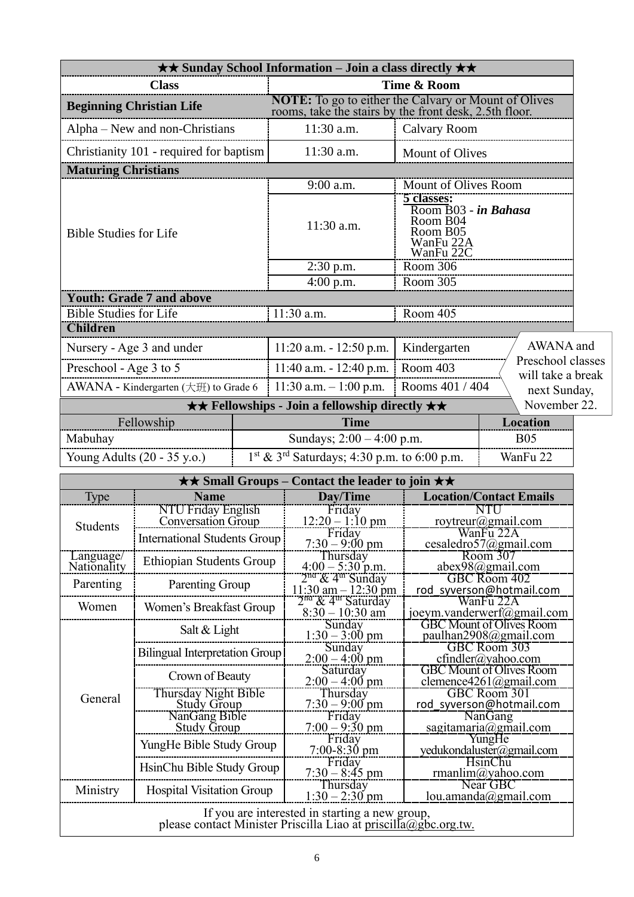| $\star \star$ Sunday School Information – Join a class directly $\star \star$                                            |                                                     |  |                                                                                                                       |                                                                                      |                                                               |  |
|--------------------------------------------------------------------------------------------------------------------------|-----------------------------------------------------|--|-----------------------------------------------------------------------------------------------------------------------|--------------------------------------------------------------------------------------|---------------------------------------------------------------|--|
| <b>Class</b>                                                                                                             |                                                     |  | Time & Room                                                                                                           |                                                                                      |                                                               |  |
| <b>Beginning Christian Life</b>                                                                                          |                                                     |  | <b>NOTE:</b> To go to either the Calvary or Mount of Olives<br>rooms, take the stairs by the front desk, 2.5th floor. |                                                                                      |                                                               |  |
| Alpha - New and non-Christians                                                                                           |                                                     |  | 11:30 a.m.                                                                                                            | <b>Calvary Room</b>                                                                  |                                                               |  |
|                                                                                                                          | Christianity 101 - required for baptism             |  | 11:30 a.m.                                                                                                            | Mount of Olives                                                                      |                                                               |  |
| <b>Maturing Christians</b>                                                                                               |                                                     |  |                                                                                                                       |                                                                                      |                                                               |  |
|                                                                                                                          |                                                     |  | 9:00 a.m.                                                                                                             | Mount of Olives Room                                                                 |                                                               |  |
| <b>Bible Studies for Life</b>                                                                                            |                                                     |  | 11:30 a.m.                                                                                                            | 5 classes:<br>Room B03 - in Bahasa<br>Room B04<br>Room B05<br>WanFu 22A<br>WanFu 22C |                                                               |  |
|                                                                                                                          |                                                     |  | $2:30$ p.m.                                                                                                           | Room 306                                                                             |                                                               |  |
|                                                                                                                          | <b>Youth: Grade 7 and above</b>                     |  | $4:00$ p.m.                                                                                                           | Room 305                                                                             |                                                               |  |
| <b>Bible Studies for Life</b>                                                                                            |                                                     |  | $11:30$ a.m.                                                                                                          | Room 405                                                                             |                                                               |  |
| <b>Children</b>                                                                                                          |                                                     |  |                                                                                                                       |                                                                                      |                                                               |  |
|                                                                                                                          | Nursery - Age 3 and under                           |  | $11:20$ a.m. $-12:50$ p.m.                                                                                            | Kindergarten                                                                         | AWANA and                                                     |  |
| Preschool - Age 3 to 5                                                                                                   |                                                     |  | 11:40 a.m. - 12:40 p.m.                                                                                               | Room 403                                                                             | Preschool classes                                             |  |
|                                                                                                                          | AWANA - Kindergarten $(\pm \mathcal{H})$ to Grade 6 |  | $11:30$ a.m. $-1:00$ p.m.                                                                                             | Rooms 401 / 404                                                                      | will take a break<br>next Sunday,                             |  |
|                                                                                                                          |                                                     |  | <b>★★ Fellowships - Join a fellowship directly ★★</b>                                                                 |                                                                                      | November 22.                                                  |  |
|                                                                                                                          | Fellowship                                          |  | <b>Time</b>                                                                                                           |                                                                                      | <b>Location</b>                                               |  |
| Mabuhay                                                                                                                  |                                                     |  | Sundays; $2:00 - 4:00$ p.m.                                                                                           |                                                                                      | <b>B05</b>                                                    |  |
|                                                                                                                          | Young Adults (20 - 35 y.o.)                         |  | $1st$ & 3 <sup>rd</sup> Saturdays; 4:30 p.m. to 6:00 p.m.                                                             |                                                                                      | WanFu 22                                                      |  |
|                                                                                                                          |                                                     |  | $\star\star$ Small Groups – Contact the leader to join $\star\star$                                                   |                                                                                      |                                                               |  |
| <b>Type</b>                                                                                                              | <b>Name</b>                                         |  | Day/Time                                                                                                              | <b>Location/Contact Emails</b>                                                       |                                                               |  |
|                                                                                                                          | NTU Friday English<br>Conversation Group            |  | Friday<br>$12:20 - 1:10 \text{ pm}$                                                                                   | NTU<br>roytreur@gmail.com                                                            |                                                               |  |
| Students                                                                                                                 | <b>International Students Group</b>                 |  | Friday<br>$7:30 - 9:00 \text{ pm}$                                                                                    |                                                                                      | WanFu 22A<br>cesaledro57@gmail.com                            |  |
| Language/<br>Nationality                                                                                                 | Ethiopian Students Group                            |  | Thursday                                                                                                              |                                                                                      | Room 307<br>abex98@gmail.com                                  |  |
| Parenting                                                                                                                | Parenting Group                                     |  | $4:00 - 5:30$ p.m.<br>$2na$ & 4 <sup>m</sup> Sunday<br>$11:30$ am $-12:30$ pm                                         |                                                                                      | GBC Room 402<br>rod syverson@hotmail.com                      |  |
| Women                                                                                                                    | Women's Breakfast Group                             |  | 2 <sup>na</sup> & 4 <sup>th</sup> Saturday                                                                            |                                                                                      | WanFu 22A                                                     |  |
|                                                                                                                          | Salt & Light                                        |  | $8:30 - 10:30$ am<br>Sunday                                                                                           |                                                                                      | joeym.vanderwerf@gmail.com<br><b>GBC Mount of Olives Room</b> |  |
|                                                                                                                          | <b>Bilingual Interpretation Group</b>               |  | $1:30 - 3:00 \text{ pm}$<br>Sunday                                                                                    |                                                                                      | paulhan2908@gmail.com<br>GBC Room 303                         |  |
|                                                                                                                          |                                                     |  | $2:00 - 4:00$ pm<br>Saturday                                                                                          | $cfindler(a)$ yahoo.com<br><b>GBC Mount of Olives Room</b>                           |                                                               |  |
|                                                                                                                          | Crown of Beauty                                     |  | $2:00 - 4:00$ pm                                                                                                      | clemence4261@gmail.com                                                               |                                                               |  |
| General                                                                                                                  | Thursday Night Bible<br><b>Study Group</b>          |  | Thursday<br>$7:30 - 9:00$ pm                                                                                          | GBC Room 301<br>rod syverson@hotmail.com                                             |                                                               |  |
|                                                                                                                          | NanGang Bible<br><b>Study Group</b>                 |  | Friday                                                                                                                |                                                                                      | NanGang<br>sagitamaria@gmail.com                              |  |
|                                                                                                                          | YungHe Bible Study Group                            |  | $7:00 - 9:30$ pm<br>Friday                                                                                            |                                                                                      | YungHe                                                        |  |
|                                                                                                                          | HsinChu Bible Study Group                           |  | $7:00 - 8:30$ pm<br>Friday<br>$7:30 - 8:45$ pm                                                                        | yedukondaluster@gmail.com<br><b>HsinChu</b><br>rmanlim@yahoo.com                     |                                                               |  |
| Ministry                                                                                                                 | <b>Hospital Visitation Group</b>                    |  | Thursday<br>$1:30 - 2:30$ pm                                                                                          |                                                                                      | Near GBC<br>lou. amanda@gmail.com                             |  |
| If you are interested in starting a new group,<br>please contact Minister Priscilla Liao at <u>priscilla@gbc.org.tw.</u> |                                                     |  |                                                                                                                       |                                                                                      |                                                               |  |